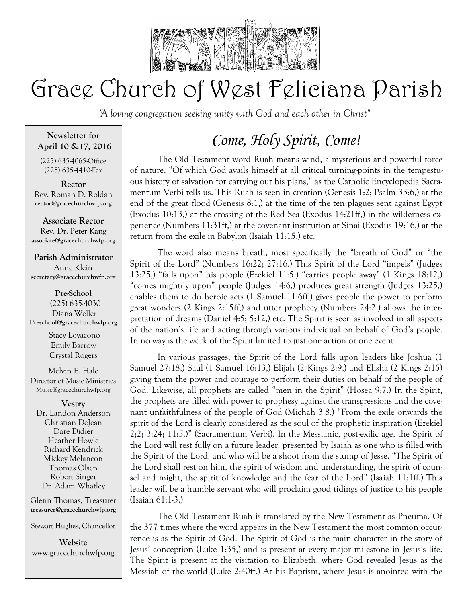

# Grace Church of West Feliciana Parish

*"A loving congregation seeking unity with God and each other in Christ"* 

## **Newsletter for April 10 &17, 2016**

(225) 635-4065-Office (225) 635-4410-Fax

**Rector** Rev. Roman D. Roldan **rector@gracechurchwfp.org**

**Associate Rector** Rev. Dr. Peter Kang **associate@gracechurchwfp.org**

## **Parish Administrator**

Anne Klein **secretary@gracechurchwfp.org**

**Pre-School** (225) 635-4030 Diana Weller **Preschool@gracechurchwfp.org** 

> Stacy Loyacono Emily Barrow Crystal Rogers

Melvin E. Hale Director of Music Ministries Music@gracechurchwfp.org

### **Vestry** Dr. Landon Anderson Christian DeJean Dare Didier Heather Howle Richard Kendrick Mickey Melancon Thomas Olsen Robert Singer

Glenn Thomas, Treasurer **treasurer@gracechurchwfp.org**

Dr. Adam Whatley

Stewart Hughes, Chancellor

**Website**  www.gracechurchwfp.org

## *Come, Holy Spirit, Come!*

The Old Testament word Ruah means wind, a mysterious and powerful force of nature, "Of which God avails himself at all critical turning-points in the tempestuous history of salvation for carrying out his plans," as the Catholic Encyclopedia Sacramentum Verbi tells us. This Ruah is seen in creation (Genesis 1:2; Psalm 33:6,) at the end of the great flood (Genesis 8:1,) at the time of the ten plagues sent against Egypt (Exodus 10:13,) at the crossing of the Red Sea (Exodus 14:21ff,) in the wilderness experience (Numbers 11:31ff,) at the covenant institution at Sinai (Exodus 19:16,) at the return from the exile in Babylon (Isaiah 11:15,) etc.

The word also means breath, most specifically the "breath of God" or "the Spirit of the Lord" (Numbers 16:22; 27:16.) This Spirit of the Lord "impels" (Judges 13:25,) "falls upon" his people (Ezekiel 11:5,) "carries people away" (1 Kings 18:12,) "comes mightily upon" people (Judges 14:6,) produces great strength (Judges 13:25,) enables them to do heroic acts (1 Samuel 11:6ff,) gives people the power to perform great wonders (2 Kings 2:15ff,) and utter prophecy (Numbers 24:2,) allows the interpretation of dreams (Daniel 4:5; 5:12,) etc. The Spirit is seen as involved in all aspects of the nation's life and acting through various individual on behalf of God's people. In no way is the work of the Spirit limited to just one action or one event.

In various passages, the Spirit of the Lord falls upon leaders like Joshua (1 Samuel 27:18,) Saul (1 Samuel 16:13,) Elijah (2 Kings 2:9,) and Elisha (2 Kings 2:15) giving them the power and courage to perform their duties on behalf of the people of God. Likewise, all prophets are called "men in the Spirit" (Hosea 9:7.) In the Spirit, the prophets are filled with power to prophesy against the transgressions and the covenant unfaithfulness of the people of God (Michah 3:8.) "From the exile onwards the spirit of the Lord is clearly considered as the soul of the prophetic inspiration (Ezekiel 2;2; 3:24; 11:5.)" (Sacramentum Verbi). In the Messianic, post-exilic age, the Spirit of the Lord will rest fully on a future leader, presented by Isaiah as one who is filled with the Spirit of the Lord, and who will be a shoot from the stump of Jesse. "The Spirit of the Lord shall rest on him, the spirit of wisdom and understanding, the spirit of counsel and might, the spirit of knowledge and the fear of the Lord" (Isaiah 11:1ff.) This leader will be a humble servant who will proclaim good tidings of justice to his people (Isaiah 61:1-3.)

The Old Testament Ruah is translated by the New Testament as Pneuma. Of the 377 times where the word appears in the New Testament the most common occurrence is as the Spirit of God. The Spirit of God is the main character in the story of Jesus' conception (Luke 1:35,) and is present at every major milestone in Jesus's life. The Spirit is present at the visitation to Elizabeth, where God revealed Jesus as the Messiah of the world (Luke 2:40ff.) At his Baptism, where Jesus is anointed with the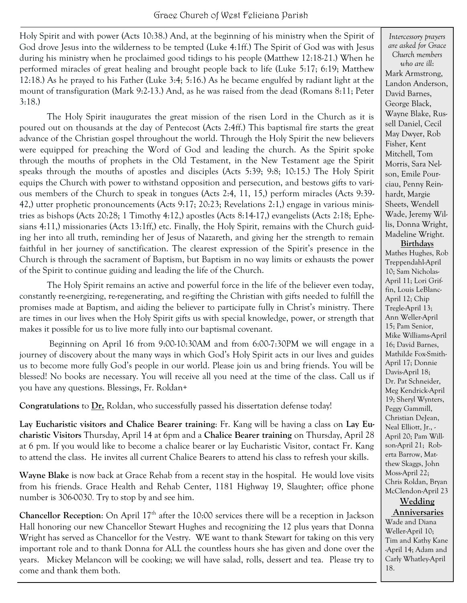Holy Spirit and with power (Acts 10:38.) And, at the beginning of his ministry when the Spirit of God drove Jesus into the wilderness to be tempted (Luke 4:1ff.) The Spirit of God was with Jesus during his ministry when he proclaimed good tidings to his people (Matthew 12:18-21.) When he performed miracles of great healing and brought people back to life (Luke 5:17; 6:19; Matthew 12:18.) As he prayed to his Father (Luke 3:4; 5:16.) As he became engulfed by radiant light at the mount of transfiguration (Mark 9:2-13.) And, as he was raised from the dead (Romans 8:11; Peter 3:18.)

The Holy Spirit inaugurates the great mission of the risen Lord in the Church as it is poured out on thousands at the day of Pentecost (Acts 2:4ff.) This baptismal fire starts the great advance of the Christian gospel throughout the world. Through the Holy Spirit the new believers were equipped for preaching the Word of God and leading the church. As the Spirit spoke through the mouths of prophets in the Old Testament, in the New Testament age the Spirit speaks through the mouths of apostles and disciples (Acts 5:39; 9:8; 10:15.) The Holy Spirit equips the Church with power to withstand opposition and persecution, and bestows gifts to various members of the Church to speak in tongues (Acts 2:4, 11, 15,) perform miracles (Acts 9:39- 42,) utter prophetic pronouncements (Acts 9:17; 20:23; Revelations 2:1,) engage in various ministries as bishops (Acts 20:28; 1 Timothy 4:12,) apostles (Acts 8:14-17,) evangelists (Acts 2:18; Ephesians 4:11,) missionaries (Acts 13:1ff,) etc. Finally, the Holy Spirit, remains with the Church guiding her into all truth, reminding her of Jesus of Nazareth, and giving her the strength to remain faithful in her journey of sanctification. The clearest expression of the Spirit's presence in the Church is through the sacrament of Baptism, but Baptism in no way limits or exhausts the power of the Spirit to continue guiding and leading the life of the Church.

The Holy Spirit remains an active and powerful force in the life of the believer even today, constantly re-energizing, re-regenerating, and re-gifting the Christian with gifts needed to fulfill the promises made at Baptism, and aiding the believer to participate fully in Christ's ministry. There are times in our lives when the Holy Spirit gifts us with special knowledge, power, or strength that makes it possible for us to live more fully into our baptismal covenant.

Beginning on April 16 from 9:00-10:30AM and from 6:00-7:30PM we will engage in a journey of discovery about the many ways in which God's Holy Spirit acts in our lives and guides us to become more fully God's people in our world. Please join us and bring friends. You will be blessed! No books are necessary. You will receive all you need at the time of the class. Call us if you have any questions. Blessings, Fr. Roldan+

**Congratulations** to **Dr.** Roldan, who successfully passed his dissertation defense today!

**Lay Eucharistic visitors and Chalice Bearer training**: Fr. Kang will be having a class on **Lay Eucharistic Visitors** Thursday, April 14 at 6pm and a **Chalice Bearer training** on Thursday, April 28 at 6 pm. If you would like to become a chalice bearer or lay Eucharistic Visitor, contact Fr. Kang to attend the class. He invites all current Chalice Bearers to attend his class to refresh your skills.

**Wayne Blake** is now back at Grace Rehab from a recent stay in the hospital. He would love visits from his friends. Grace Health and Rehab Center, 1181 Highway 19, Slaughter; office phone number is 306-0030. Try to stop by and see him.

**Chancellor Reception**: On April 17<sup>th</sup> after the 10:00 services there will be a reception in Jackson Hall honoring our new Chancellor Stewart Hughes and recognizing the 12 plus years that Donna Wright has served as Chancellor for the Vestry. WE want to thank Stewart for taking on this very important role and to thank Donna for ALL the countless hours she has given and done over the years. Mickey Melancon will be cooking; we will have salad, rolls, dessert and tea. Please try to come and thank them both.

*Intercessory prayers are asked for Grace Church members who are ill*: Mark Armstrong, Landon Anderson, David Barnes, George Black, Wayne Blake, Russell Daniel, Cecil May Dwyer, Rob Fisher, Kent Mitchell, Tom Morris, Sara Nelson, Emile Pourciau, Penny Reinhardt, Margie Sheets, Wendell Wade, Jeremy Willis, Donna Wright, Madeline Wright. **Birthdays** Mathes Hughes, Rob Treppendahl-April 10; Sam Nicholas-April 11; Lori Griffin, Louis LeBlanc-April 12; Chip Tregle-April 13; Ann Weller-April 15; Pam Senior, Mike Williams-April 16; David Barnes, Mathilde Fox-Smith-April 17; Donnie Davis-April 18; Dr. Pat Schneider, Meg Kendrick-April 19; Sheryl Wynters, Peggy Gammill, Christian DeJean, Neal Elliott, Jr., - April 20; Pam Willson-April 21; Roberta Barrow, Matthew Skaggs, John Moss-April 22; Chris Roldan, Bryan McClendon-April 23 **Wedding Anniversaries**

Wade and Diana Weller-April 10; Tim and Kathy Kane -April 14; Adam and Carly Whatley-April 18.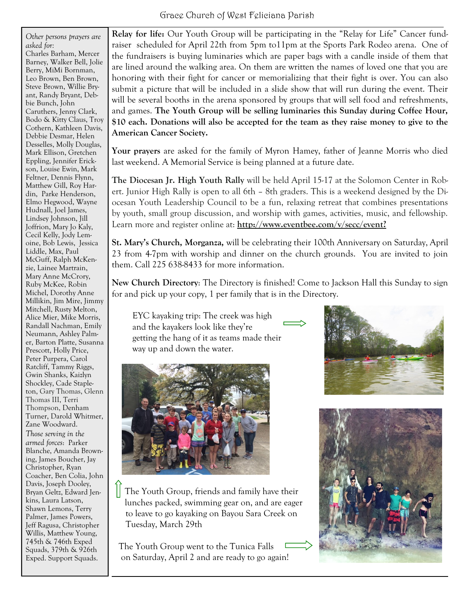*Other persons prayers are asked for:* Charles Barham, Mercer Barney, Walker Bell, Jolie Berry, MiMi Bornman, Leo Brown, Ben Brown, Steve Brown, Willie Bryant, Randy Bryant, Debbie Bunch, John Caruthers, Jenny Clark, Bodo & Kitty Claus, Troy Cothern, Kathleen Davis, Debbie Desmar, Helen Desselles, Molly Douglas, Mark Ellison, Gretchen Eppling, Jennifer Erickson, Louise Ewin, Mark Feltner, Dennis Flynn, Matthew Gill, Roy Hardin, Parke Henderson, Elmo Hegwood, Wayne Hudnall, Joel James, Lindsey Johnson, Jill Joffrion, Mary Jo Kaly, Cecil Kelly, Jody Lemoine, Bob Lewis, Jessica Liddle, Max, Paul McGuff, Ralph McKenzie, Lainee Martrain, Mary Anne McCrory, Ruby McKee, Robin Michel, Dorothy Anne Millikin, Jim Mire, Jimmy Mitchell, Rusty Melton, Alice Mier, Mike Morris, Randall Nachman, Emily Neumann, Ashley Palmer, Barton Platte, Susanna Prescott, Holly Price, Peter Purpera, Carol Ratcliff, Tammy Riggs, Gwin Shanks, Kaizlyn Shockley, Cade Stapleton, Gary Thomas, Glenn Thomas III, Terri Thompson, Denham Turner, Darold Whitmer, Zane Woodward. *Those serving in the armed forces*: Parker Blanche, Amanda Browning, James Boucher, Jay Christopher, Ryan Coacher, Ben Colia, John Davis, Joseph Dooley, Bryan Geltz, Edward Jenkins, Laura Latson, Shawn Lemons, Terry Palmer, James Powers, Jeff Ragusa, Christopher Willis, Matthew Young, 745th & 746th Exped Squads, 379th & 926th Exped. Support Squads.

**Relay for life:** Our Youth Group will be participating in the "Relay for Life" Cancer fundraiser scheduled for April 22th from 5pm to11pm at the Sports Park Rodeo arena. One of the fundraisers is buying luminaries which are paper bags with a candle inside of them that are lined around the walking area. On them are written the names of loved one that you are honoring with their fight for cancer or memorializing that their fight is over. You can also submit a picture that will be included in a slide show that will run during the event. Their will be several booths in the arena sponsored by groups that will sell food and refreshments, and games. **The Youth Group will be selling luminaries this Sunday during Coffee Hour, \$10 each. Donations will also be accepted for the team as they raise money to give to the American Cancer Society.**

**Your prayers** are asked for the family of Myron Hamey, father of Jeanne Morris who died last weekend. A Memorial Service is being planned at a future date.

**The Diocesan Jr. High Youth Rally** will be held April 15-17 at the Solomon Center in Robert. Junior High Rally is open to all 6th – 8th graders. This is a weekend designed by the Diocesan Youth Leadership Council to be a fun, relaxing retreat that combines presentations by youth, small group discussion, and worship with games, activities, music, and fellowship. Learn more and register online at: **[http://www.eventbee.com/v/secc/event?](http://www.eventbee.com/v/secc/event?eid=121442774)**

**St. Mary's Church, Morganza,** will be celebrating their 100th Anniversary on Saturday, April 23 from 4-7pm with worship and dinner on the church grounds. You are invited to join them. Call 225 638-8433 for more information.

**New Church Directory**: The Directory is finished! Come to Jackson Hall this Sunday to sign for and pick up your copy, 1 per family that is in the Directory.

 EYC kayaking trip: The creek was high and the kayakers look like they're getting the hang of it as teams made their way up and down the water.







 The Youth Group, friends and family have their lunches packed, swimming gear on, and are eager to leave to go kayaking on Bayou Sara Creek on Tuesday, March 29th

 The Youth Group went to the Tunica Falls on Saturday, April 2 and are ready to go again!